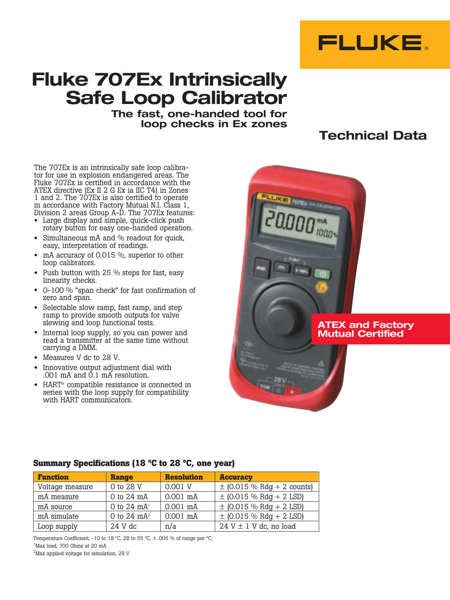

# **Fluke 707Ex Intrinsically Safe Loop Calibrator**

**The fast, one-handed tool for loop checks in Ex zones**

# **Technical Data**

The 707Ex is an intrinsically safe loop calibrator for use in explosion endangered areas. The Fluke 707Ex is certified in accordance with the ATEX directive (Ex II 2 G Ex ia IIC T4) in Zones 1 and 2. The 707Ex is also certified to operate in accordance with Factory Mutual N.I. Class 1, Division 2 areas Group A-D. The 707Ex features:

- • Large display and simple, quick-click push rotary button for easy one-handed operation.
- Simultaneous mA and % readout for quick, easy, interpretation of readings.
- mA accuracy of 0.015  $%$ , superior to other loop calibrators.
- Push button with 25 % steps for fast, easy linearity checks.
- • 0-100 % "span check" for fast confirmation of zero and span.
- Selectable slow ramp, fast ramp, and step ramp to provide smooth outputs for valve slewing and loop functional tests.
- • Internal loop supply, so you can power and read a transmitter at the same time without carrying a DMM.
- • Measures V dc to 28 V.
- Innovative output adjustment dial with .001 mA and 0.1 mA resolution.
- HART<sup>®</sup> compatible resistance is connected in series with the loop supply for compatibility with HART communicators.

# **ATEX and Factory Mutual Certified**

# **Summary Specifications (18 ºC to 28 ºC, one year)**

| <b>Function</b> | <b>Range</b>   | <b>Resolution</b> | <b>Accuracy</b>                |
|-----------------|----------------|-------------------|--------------------------------|
| Voltage measure | 0 to 28 V      | 0.001 V           | $\pm$ (0.015 % Rdg + 2 counts) |
| mA measure      | 0 to 24 mA     | $0.001$ mA        | $\pm$ (0.015 % Rdg + 2 LSD)    |
| mA source       | 0 to 24 $mA1$  | $0.001$ mA        | $\pm$ (0.015 % Rdg + 2 LSD)    |
| mA simulate     | 0 to 24 $mA^2$ | $0.001$ mA        | $\pm$ (0.015 % Rdg + 2 LSD)    |
| Loop supply     | 24 V dc        | n/a               | $24 V \pm 1 V$ dc, no load     |

Temperature Coefficient, -10 to 18 °C, 28 to 55 °C,  $\pm$  .005 % of range per °C;

1 Max load, 700 Ohms at 20 mA

 $^{2}$ Max applied voltage for simulation, 28 V